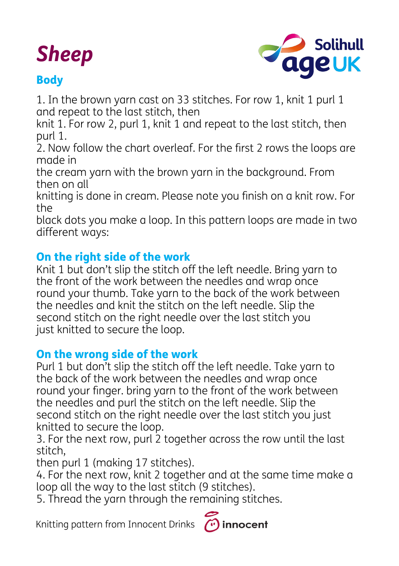# *Sheep*



# **Body**

1. In the brown yarn cast on 33 stitches. For row 1, knit 1 purl 1 and repeat to the last stitch, then

knit 1. For row 2, purl 1, knit 1 and repeat to the last stitch, then purl 1.

2. Now follow the chart overleaf. For the first 2 rows the loops are made in

the cream yarn with the brown yarn in the background. From then on all

knitting is done in cream. Please note you finish on a knit row. For the

black dots you make a loop. In this pattern loops are made in two different ways:

## On the right side of the work

Knit 1 but don't slip the stitch off the left needle. Bring yarn to the front of the work between the needles and wrap once round your thumb. Take yarn to the back of the work between the needles and knit the stitch on the left needle. Slip the second stitch on the right needle over the last stitch you just knitted to secure the loop.

#### On the wrong side of the work

Purl 1 but don't slip the stitch off the left needle. Take yarn to the back of the work between the needles and wrap once round your finger. bring yarn to the front of the work between the needles and purl the stitch on the left needle. Slip the second stitch on the right needle over the last stitch you just knitted to secure the loop.

3. For the next row, purl 2 together across the row until the last stitch,

then purl 1 (making 17 stitches).

4. For the next row, knit 2 together and at the same time make a loop all the way to the last stitch (9 stitches).

5. Thread the yarn through the remaining stitches.

Knitting pattern from Innocent Drinks

innocent